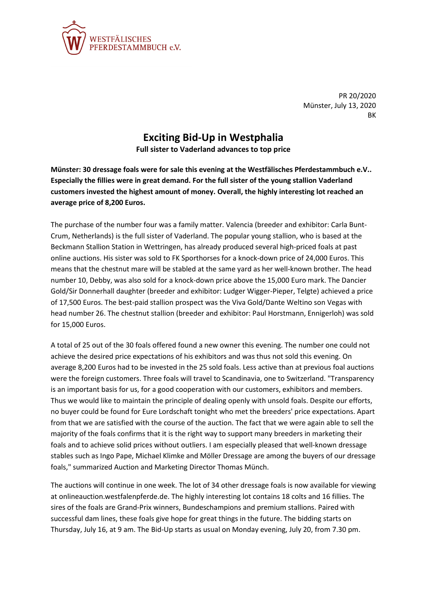

PR 20/2020 Münster, July 13, 2020 BK

## **Exciting Bid-Up in Westphalia**

**Full sister to Vaderland advances to top price**

**Münster: 30 dressage foals were for sale this evening at the Westfälisches Pferdestammbuch e.V.. Especially the fillies were in great demand. For the full sister of the young stallion Vaderland customers invested the highest amount of money. Overall, the highly interesting lot reached an average price of 8,200 Euros.** 

The purchase of the number four was a family matter. Valencia (breeder and exhibitor: Carla Bunt-Crum, Netherlands) is the full sister of Vaderland. The popular young stallion, who is based at the Beckmann Stallion Station in Wettringen, has already produced several high-priced foals at past online auctions. His sister was sold to FK Sporthorses for a knock-down price of 24,000 Euros. This means that the chestnut mare will be stabled at the same yard as her well-known brother. The head number 10, Debby, was also sold for a knock-down price above the 15,000 Euro mark. The Dancier Gold/Sir Donnerhall daughter (breeder and exhibitor: Ludger Wigger-Pieper, Telgte) achieved a price of 17,500 Euros. The best-paid stallion prospect was the Viva Gold/Dante Weltino son Vegas with head number 26. The chestnut stallion (breeder and exhibitor: Paul Horstmann, Ennigerloh) was sold for 15,000 Euros.

A total of 25 out of the 30 foals offered found a new owner this evening. The number one could not achieve the desired price expectations of his exhibitors and was thus not sold this evening. On average 8,200 Euros had to be invested in the 25 sold foals. Less active than at previous foal auctions were the foreign customers. Three foals will travel to Scandinavia, one to Switzerland. "Transparency is an important basis for us, for a good cooperation with our customers, exhibitors and members. Thus we would like to maintain the principle of dealing openly with unsold foals. Despite our efforts, no buyer could be found for Eure Lordschaft tonight who met the breeders' price expectations. Apart from that we are satisfied with the course of the auction. The fact that we were again able to sell the majority of the foals confirms that it is the right way to support many breeders in marketing their foals and to achieve solid prices without outliers. I am especially pleased that well-known dressage stables such as Ingo Pape, Michael Klimke and Möller Dressage are among the buyers of our dressage foals," summarized Auction and Marketing Director Thomas Münch.

The auctions will continue in one week. The lot of 34 other dressage foals is now available for viewing at onlineauction.westfalenpferde.de. The highly interesting lot contains 18 colts and 16 fillies. The sires of the foals are Grand-Prix winners, Bundeschampions and premium stallions. Paired with successful dam lines, these foals give hope for great things in the future. The bidding starts on Thursday, July 16, at 9 am. The Bid-Up starts as usual on Monday evening, July 20, from 7.30 pm.